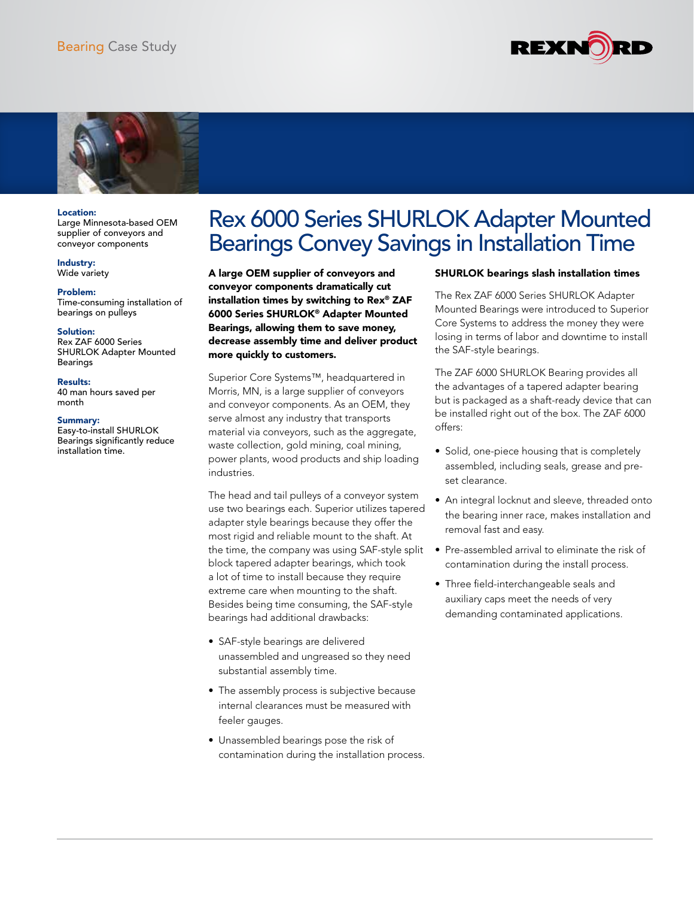



### Location:

Large Minnesota-based OEM supplier of conveyors and conveyor components

Industry: Wide variety

Problem:

Time-consuming installation of bearings on pulleys

#### Solution:

Rex ZAF 6000 Series SHURLOK Adapter Mounted Bearings

#### Results:

40 man hours saved per month

#### Summary:

Easy-to-install SHURLOK Bearings significantly reduce installation time.

# Rex 6000 Series SHURLOK Adapter Mounted Bearings Convey Savings in Installation Time

A large OEM supplier of conveyors and conveyor components dramatically cut installation times by switching to Rex® ZAF 6000 Series SHURLOK® Adapter Mounted Bearings, allowing them to save money, decrease assembly time and deliver product more quickly to customers.

Superior Core Systems™, headquartered in Morris, MN, is a large supplier of conveyors and conveyor components. As an OEM, they serve almost any industry that transports material via conveyors, such as the aggregate, waste collection, gold mining, coal mining, power plants, wood products and ship loading industries.

The head and tail pulleys of a conveyor system use two bearings each. Superior utilizes tapered adapter style bearings because they offer the most rigid and reliable mount to the shaft. At the time, the company was using SAF-style split block tapered adapter bearings, which took a lot of time to install because they require extreme care when mounting to the shaft. Besides being time consuming, the SAF-style bearings had additional drawbacks:

- SAF-style bearings are delivered unassembled and ungreased so they need substantial assembly time.
- The assembly process is subjective because internal clearances must be measured with feeler gauges.
- Unassembled bearings pose the risk of contamination during the installation process.

## SHURLOK bearings slash installation times

The Rex ZAF 6000 Series SHURLOK Adapter Mounted Bearings were introduced to Superior Core Systems to address the money they were losing in terms of labor and downtime to install the SAF-style bearings.

The ZAF 6000 SHURLOK Bearing provides all the advantages of a tapered adapter bearing but is packaged as a shaft-ready device that can be installed right out of the box. The ZAF 6000 offers:

- Solid, one-piece housing that is completely assembled, including seals, grease and preset clearance.
- An integral locknut and sleeve, threaded onto the bearing inner race, makes installation and removal fast and easy.
- Pre-assembled arrival to eliminate the risk of contamination during the install process.
- Three field-interchangeable seals and auxiliary caps meet the needs of very demanding contaminated applications.